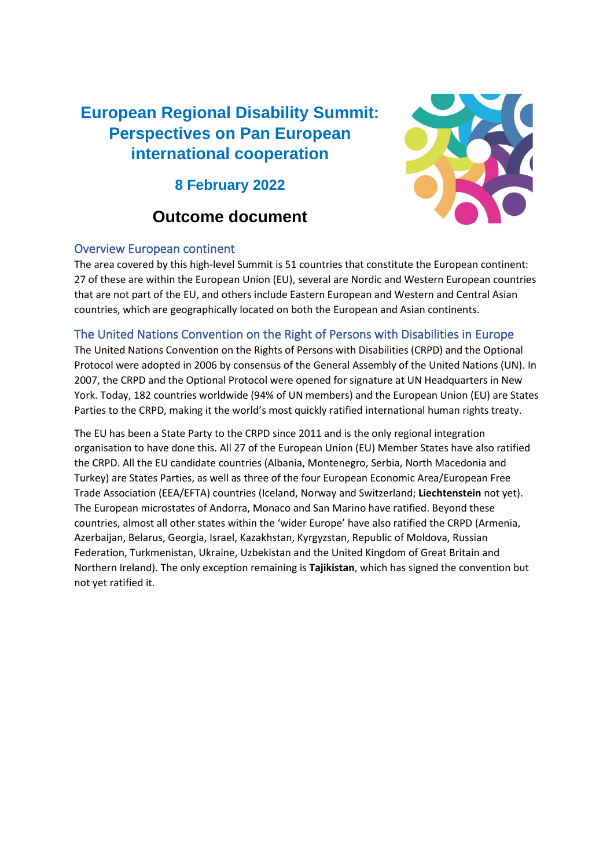# **European Regional Disability Summit: Perspectives on Pan European international cooperation**

**8 February 2022**

# **Outcome document**



### Overview European continent

The area covered by this high-level Summit is 51 countries that constitute the European continent: 27 of these are within the European Union (EU), several are Nordic and Western European countries that are not part of the EU, and others include Eastern European and Western and Central Asian countries, which are geographically located on both the European and Asian continents.

# The United Nations Convention on the Right of Persons with Disabilities in Europe

The United Nations Convention on the Rights of Persons with Disabilities (CRPD) and the Optional Protocol were adopted in 2006 by consensus of the General Assembly of the United Nations (UN). In 2007, the CRPD and the Optional Protocol were opened for signature at UN Headquarters in New York. Today, 182 countries worldwide (94% of UN members) and the European Union (EU) are States Parties to the CRPD, making it the world's most quickly ratified international human rights treaty.

The EU has been a State Party to the CRPD since 2011 and is the only regional integration organisation to have done this. All 27 of the European Union (EU) Member States have also ratified the CRPD. All the EU candidate countries (Albania, Montenegro, Serbia, North Macedonia and Turkey) are States Parties, as well as three of the four European Economic Area/European Free Trade Association (EEA/EFTA) countries (Iceland, Norway and Switzerland; **Liechtenstein** not yet). The European microstates of Andorra, Monaco and San Marino have ratified. Beyond these countries, almost all other states within the 'wider Europe' have also ratified the CRPD (Armenia, Azerbaijan, Belarus, Georgia, Israel, Kazakhstan, Kyrgyzstan, Republic of Moldova, Russian Federation, Turkmenistan, Ukraine, Uzbekistan and the United Kingdom of Great Britain and Northern Ireland). The only exception remaining is **Tajikistan**, which has signed the convention but not yet ratified it.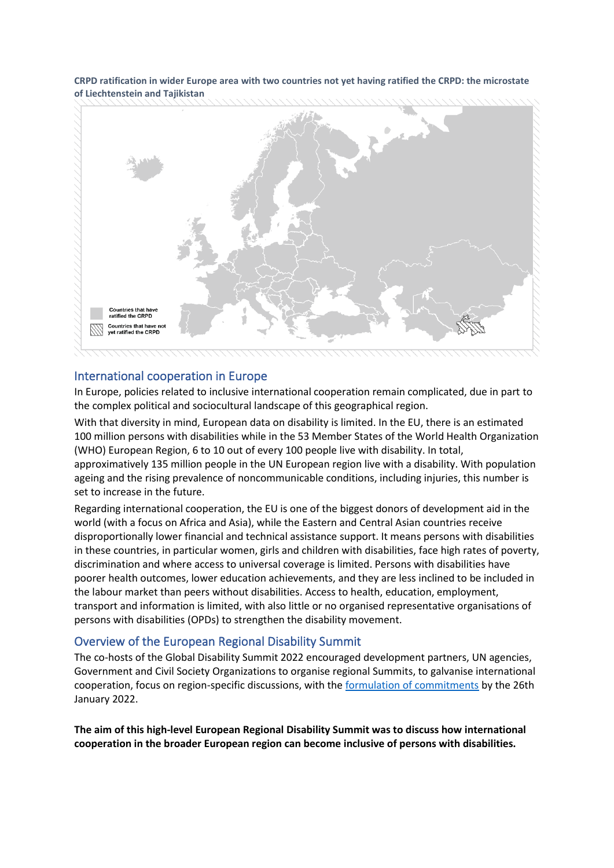**CRPD ratification in wider Europe area with two countries not yet having ratified the CRPD: the microstate of Liechtenstein and Tajikistan**



#### International cooperation in Europe

In Europe, policies related to inclusive international cooperation remain complicated, due in part to the complex political and sociocultural landscape of this geographical region.

With that diversity in mind, European data on disability is limited. In the EU, there is an estimated 100 million persons with disabilities while in the 53 Member States of the World Health Organization (WHO) European Region, 6 to 10 out of every 100 people live with disability. In total, approximatively 135 million people in the UN European region live with a disability. With population ageing and the rising prevalence of noncommunicable conditions, including injuries, this number is set to increase in the future.

Regarding international cooperation, the EU is one of the biggest donors of development aid in the world (with a focus on Africa and Asia), while the Eastern and Central Asian countries receive disproportionally lower financial and technical assistance support. It means persons with disabilities in these countries, in particular women, girls and children with disabilities, face high rates of poverty, discrimination and where access to universal coverage is limited. Persons with disabilities have poorer health outcomes, lower education achievements, and they are less inclined to be included in the labour market than peers without disabilities. Access to health, education, employment, transport and information is limited, with also little or no organised representative organisations of persons with disabilities (OPDs) to strengthen the disability movement.

#### Overview of the European Regional Disability Summit

The co-hosts of the Global Disability Summit 2022 encouraged development partners, UN agencies, Government and Civil Society Organizations to organise regional Summits, to galvanise international cooperation, focus on region-specific discussions, with the [formulation of commitments](https://www.globaldisabilitysummit.org/blogs/the-menu-of-commitments-for-the-global-disability-summit-is-online) by the 26th January 2022.

**The aim of this high-level European Regional Disability Summit was to discuss how international cooperation in the broader European region can become inclusive of persons with disabilities.**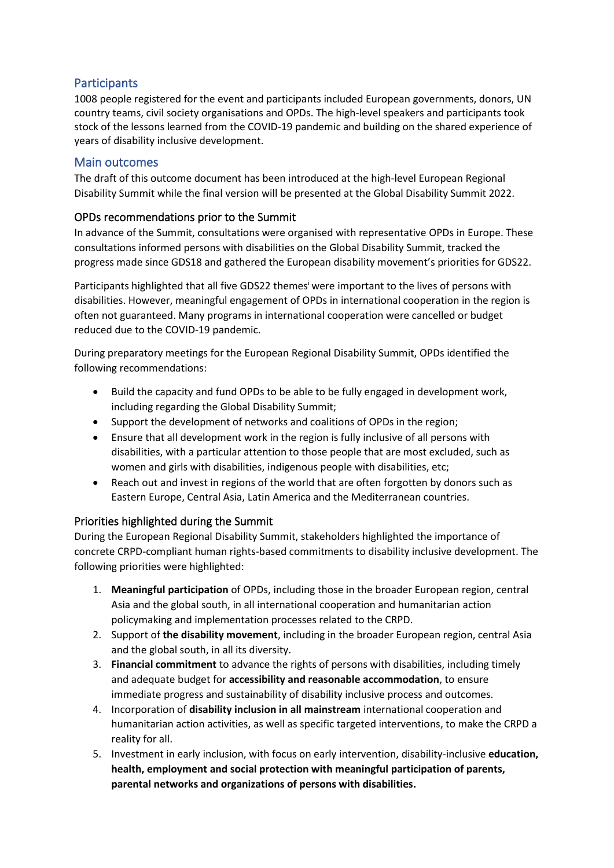## **Participants**

1008 people registered for the event and participants included European governments, donors, UN country teams, civil society organisations and OPDs. The high-level speakers and participants took stock of the lessons learned from the COVID-19 pandemic and building on the shared experience of years of disability inclusive development.

#### Main outcomes

The draft of this outcome document has been introduced at the high-level European Regional Disability Summit while the final version will be presented at the Global Disability Summit 2022.

#### OPDs recommendations prior to the Summit

In advance of the Summit, consultations were organised with representative OPDs in Europe. These consultations informed persons with disabilities on the Global Disability Summit, tracked the progress made since GDS18 and gathered the European disability movement's priorities for GDS22.

Participants highlighted that all five GDS22 themes<sup>i</sup> were important to the lives of persons with disabilities. However, meaningful engagement of OPDs in international cooperation in the region is often not guaranteed. Many programs in international cooperation were cancelled or budget reduced due to the COVID-19 pandemic.

During preparatory meetings for the European Regional Disability Summit, OPDs identified the following recommendations:

- Build the capacity and fund OPDs to be able to be fully engaged in development work, including regarding the Global Disability Summit;
- Support the development of networks and coalitions of OPDs in the region;
- Ensure that all development work in the region is fully inclusive of all persons with disabilities, with a particular attention to those people that are most excluded, such as women and girls with disabilities, indigenous people with disabilities, etc;
- Reach out and invest in regions of the world that are often forgotten by donors such as Eastern Europe, Central Asia, Latin America and the Mediterranean countries.

### Priorities highlighted during the Summit

During the European Regional Disability Summit, stakeholders highlighted the importance of concrete CRPD-compliant human rights-based commitments to disability inclusive development. The following priorities were highlighted:

- 1. **Meaningful participation** of OPDs, including those in the broader European region, central Asia and the global south, in all international cooperation and humanitarian action policymaking and implementation processes related to the CRPD.
- 2. Support of **the disability movement**, including in the broader European region, central Asia and the global south, in all its diversity.
- 3. **Financial commitment** to advance the rights of persons with disabilities, including timely and adequate budget for **accessibility and reasonable accommodation**, to ensure immediate progress and sustainability of disability inclusive process and outcomes.
- 4. Incorporation of **disability inclusion in all mainstream** international cooperation and humanitarian action activities, as well as specific targeted interventions, to make the CRPD a reality for all.
- 5. Investment in early inclusion, with focus on early intervention, disability-inclusive **education, health, employment and social protection with meaningful participation of parents, parental networks and organizations of persons with disabilities.**